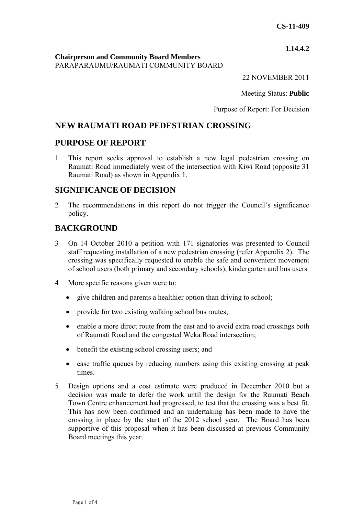**1.14.4.2**

**Chairperson and Community Board Members** PARAPARAUMU/RAUMATI COMMUNITY BOARD

22 NOVEMBER 2011

Meeting Status: **Public**

Purpose of Report: For Decision

# **NEW RAUMATI ROAD PEDESTRIAN CROSSING**

### **PURPOSE OF REPORT**

1 This report seeks approval to establish a new legal pedestrian crossing on Raumati Road immediately west of the intersection with Kiwi Road (opposite 31 Raumati Road) as shown in Appendix 1.

### **SIGNIFICANCE OF DECISION**

2 The recommendations in this report do not trigger the Council's significance policy.

# **BACKGROUND**

- 3 On 14 October 2010 a petition with 171 signatories was presented to Council staff requesting installation of a new pedestrian crossing (refer Appendix 2). The crossing was specifically requested to enable the safe and convenient movement of school users (both primary and secondary schools), kindergarten and bus users.
- 4 More specific reasons given were to:
	- give children and parents a healthier option than driving to school;
	- provide for two existing walking school bus routes;
	- enable a more direct route from the east and to avoid extra road crossings both of Raumati Road and the congested Weka Road intersection;
	- benefit the existing school crossing users; and
	- ease traffic queues by reducing numbers using this existing crossing at peak times.
- 5 Design options and a cost estimate were produced in December 2010 but a decision was made to defer the work until the design for the Raumati Beach Town Centre enhancement had progressed, to test that the crossing was a best fit. This has now been confirmed and an undertaking has been made to have the crossing in place by the start of the 2012 school year. The Board has been supportive of this proposal when it has been discussed at previous Community Board meetings this year.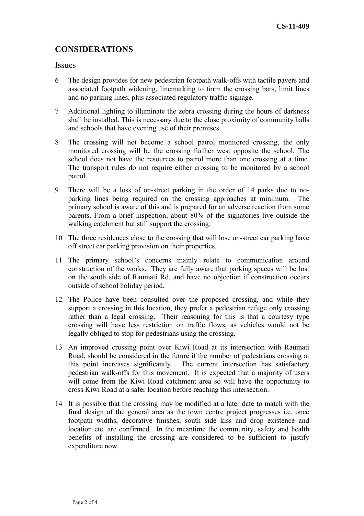# **CONSIDERATIONS**

#### **Issues**

- 6 The design provides for new pedestrian footpath walk-offs with tactile pavers and associated footpath widening, linemarking to form the crossing bars, limit lines and no parking lines, plus associated regulatory traffic signage.
- 7 Additional lighting to illuminate the zebra crossing during the hours of darkness shall be installed. This is necessary due to the close proximity of community halls and schools that have evening use of their premises.
- 8 The crossing will not become a school patrol monitored crossing, the only monitored crossing will be the crossing further west opposite the school. The school does not have the resources to patrol more than one crossing at a time. The transport rules do not require either crossing to be monitored by a school patrol.
- 9 There will be a loss of on-street parking in the order of 14 parks due to noparking lines being required on the crossing approaches at minimum. The primary school is aware of this and is prepared for an adverse reaction from some parents. From a brief inspection, about 80% of the signatories live outside the walking catchment but still support the crossing.
- 10 The three residences close to the crossing that will lose on-street car parking have off street car parking provision on their properties.
- 11 The primary school's concerns mainly relate to communication around construction of the works. They are fully aware that parking spaces will be lost on the south side of Raumati Rd, and have no objection if construction occurs outside of school holiday period.
- 12 The Police have been consulted over the proposed crossing, and while they support a crossing in this location, they prefer a pedestrian refuge only crossing rather than a legal crossing. Their reasoning for this is that a courtesy type crossing will have less restriction on traffic flows, as vehicles would not be legally obliged to stop for pedestrians using the crossing.
- 13 An improved crossing point over Kiwi Road at its intersection with Raumati Road, should be considered in the future if the number of pedestrians crossing at this point increases significantly. The current intersection has satisfactory pedestrian walk-offs for this movement. It is expected that a majority of users will come from the Kiwi Road catchment area so will have the opportunity to cross Kiwi Road at a safer location before reaching this intersection.
- 14 It is possible that the crossing may be modified at a later date to match with the final design of the general area as the town centre project progresses i.e. once footpath widths, decorative finishes, south side kiss and drop existence and location etc. are confirmed. In the meantime the community, safety and health benefits of installing the crossing are considered to be sufficient to justify expenditure now.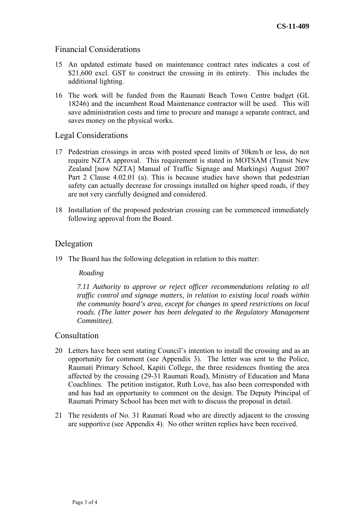### Financial Considerations

- 15 An updated estimate based on maintenance contract rates indicates a cost of \$21,600 excl. GST to construct the crossing in its entirety. This includes the additional lighting.
- 16 The work will be funded from the Raumati Beach Town Centre budget (GL 18246) and the incumbent Road Maintenance contractor will be used. This will save administration costs and time to procure and manage a separate contract, and saves money on the physical works.

### Legal Considerations

- 17 Pedestrian crossings in areas with posted speed limits of 50km/h or less, do not require NZTA approval. This requirement is stated in MOTSAM (Transit New Zealand [now NZTA] Manual of Traffic Signage and Markings) August 2007 Part 2 Clause 4.02.01 (a). This is because studies have shown that pedestrian safety can actually decrease for crossings installed on higher speed roads, if they are not very carefully designed and considered.
- 18 Installation of the proposed pedestrian crossing can be commenced immediately following approval from the Board.

### Delegation

19 The Board has the following delegation in relation to this matter:

#### *Roading*

 *7.11 Authority to approve or reject officer recommendations relating to all traffic control and signage matters, in relation to existing local roads within the community board's area, except for changes to speed restrictions on local roads. (The latter power has been delegated to the Regulatory Management Committee).* 

### Consultation

- 20 Letters have been sent stating Council's intention to install the crossing and as an opportunity for comment (see Appendix 3). The letter was sent to the Police, Raumati Primary School, Kapiti College, the three residences fronting the area affected by the crossing (29-31 Raumati Road), Ministry of Education and Mana Coachlines. The petition instigator, Ruth Love, has also been corresponded with and has had an opportunity to comment on the design. The Deputy Principal of Raumati Primary School has been met with to discuss the proposal in detail.
- 21 The residents of No. 31 Raumati Road who are directly adjacent to the crossing are supportive (see Appendix 4). No other written replies have been received.